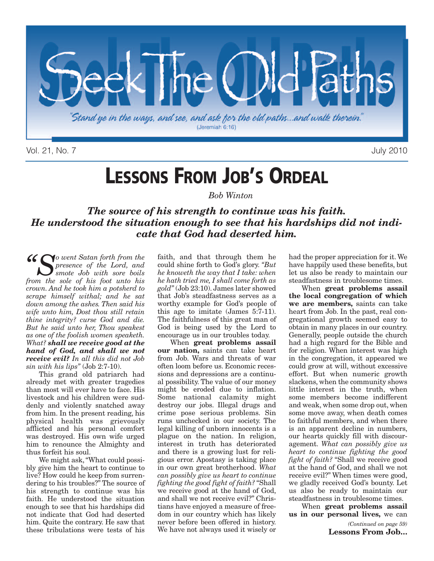

Vol. 21, No. 7 July 2010

# **LESSONS FROM JOB'S ORDEAL**

*Bob Winton*

### *The source of his strength to continue was his faith. He understood the situation enough to see that his hardships did not indicate that God had deserted him.*

*"So went Satan forth from the presence of the Lord, and smote Job with sore boils from the sole of his foot unto his crown. And he took him a potsherd to scrape himself withal; and he sat down among the ashes. Then said his wife unto him, Dost thou still retain thine integrity? curse God and die. But he said unto her, Thou speakest as one of the foolish women speaketh. What? shall we receive good at the hand of God, and shall we not receive evil? In all this did not Job sin with his lips"* (Job 2:7-10).

This grand old patriarch had already met with greater tragedies than most will ever have to face. His livestock and his children were suddenly and violently snatched away from him. In the present reading, his physical health was grievously afflicted and his personal comfort was destroyed. His own wife urged him to renounce the Almighty and thus forfeit his soul.

We might ask,"What could possibly give him the heart to continue to live? How could he keep from surrendering to his troubles?" The source of his strength to continue was his faith. He understood the situation enough to see that his hardships did not indicate that God had deserted him. Quite the contrary. He saw that these tribulations were tests of his

faith, and that through them he could shine forth to God's glory. *"But he knoweth the way that I take: when he hath tried me, I shall come forth as gold"* (Job 23:10). James later showed that Job's steadfastness serves as a worthy example for God's people of this age to imitate (James 5:7-11). The faithfulness of this great man of God is being used by the Lord to encourage us in our troubles today.

When **great problems assail our nation,** saints can take heart from Job. Wars and threats of war often loom before us. Economic recessions and depressions are a continual possibility. The value of our money might be eroded due to inflation. Some national calamity might destroy our jobs. Illegal drugs and crime pose serious problems. Sin runs unchecked in our society. The legal killing of unborn innocents is a plague on the nation. In religion, interest in truth has deteriorated and there is a growing lust for religious error. Apostasy is taking place in our own great brotherhood. *What can possibly give us heart to continue fighting the good fight of faith?* "Shall we receive good at the hand of God, and shall we not receive evil?" Christians have enjoyed a measure of freedom in our country which has likely never before been offered in history. We have not always used it wisely or

had the proper appreciation for it.We have happily used these benefits, but let us also be ready to maintain our steadfastness in troublesome times.

When **great problems assail the local congregation of which we are members,** saints can take heart from Job. In the past, real congregational growth seemed easy to obtain in many places in our country. Generally, people outside the church had a high regard for the Bible and for religion. When interest was high in the congregation, it appeared we could grow at will, without excessive effort. But when numeric growth slackens, when the community shows little interest in the truth, when some members become indifferent and weak, when some drop out, when some move away, when death comes to faithful members, and when there is an apparent decline in numbers, our hearts quickly fill with discouragement. *What can possibly give us heart to continue fighting the good fight of faith?* "Shall we receive good at the hand of God, and shall we not receive evil?" When times were good, we gladly received God's bounty. Let us also be ready to maintain our steadfastness in troublesome times.

When **great problems assail us in our personal lives,** we can

> *(Continued on page 59)* **Lessons From Job…**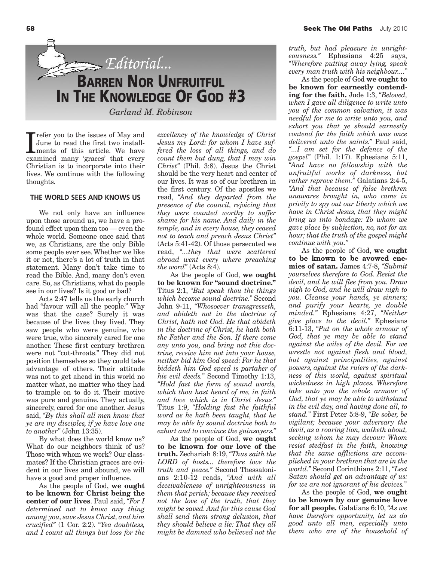

Trefer you to the issues of May and<br>June to read the first two install-<br>ments of this article. We have<br>examined many 'graces' that every refer you to the issues of May and June to read the first two installments of this article. We have Christian is to incorporate into their lives. We continue with the following thoughts.

### **THE WORLD SEES AND KNOWS US**

We not only have an influence upon those around us, we have a profound effect upon them too — even the whole world. Someone once said that we, as Christians, are the only Bible some people ever see. Whether we like it or not, there's a lot of truth in that statement. Many don't take time to read the Bible. And, many don't even care. So, as Christians, what do people see in our lives? Is it good or bad?

Acts 2:47 tells us the early church had "favour will all the people." Why was that the case? Surely it was because of the lives they lived. They saw people who were genuine, who were true, who sincerely cared for one another. These first century brethren were not "cut-throats." They did not position themselves so they could take advantage of others. Their attitude was not to get ahead in this world no matter what, no matter who they had to trample on to do it. Their motive was pure and genuine. They actually, sincerely, cared for one another. Jesus said, *"By this shall all men know that ye are my disciples, if ye have love one to another"* (John 13:35).

By what does the world know us? What do our neighbors think of us? Those with whom we work? Our classmates? If the Christian graces are evident in our lives and abound, we will have a good and proper influence.

As the people of God, **we ought to be known for Christ being the center of our lives**. Paul said, *"For I determined not to know any thing among you, save Jesus Christ, and him crucified"* (1 Cor. 2:2). *"Yea doubtless, and I count all things but loss for the*

*excellency of the knowledge of Christ Jesus my Lord: for whom I have suffered the loss of all things, and do count them but dung, that I may win Christ"* (Phil. 3:8). Jesus the Christ should be the very heart and center of our lives. It was so of our brethren in the first century. Of the apostles we read, *"And they departed from the presence of the council, rejoicing that they were counted worthy to suffer shame for his name. And daily in the temple, and in every house, they ceased not to teach and preach Jesus Christ"* (Acts 5:41-42). Of those persecuted we read, *"...they that were scattered abroad went every where preaching the word"* (Acts 8:4).

As the people of God, **we ought to be known for "sound doctrine."** Titus 2:1, *"But speak thou the things which become sound doctrine."* Second John 9-11, *"Whosoever transgresseth, and abideth not in the doctrine of Christ, hath not God. He that abideth in the doctrine of Christ, he hath both the Father and the Son. If there come any unto you, and bring not this doctrine, receive him not into your house, neither bid him God speed: For he that biddeth him God speed is partaker of his evil deeds."* Second Timothy 1:13, *"Hold fast the form of sound words, which thou hast heard of me, in faith and love which is in Christ Jesus."* Titus 1:9, *"Holding fast the faithful word as he hath been taught, that he may be able by sound doctrine both to exhort and to convince the gainsayers."*

As the people of God, **we ought to be known for our love of the truth.** Zechariah 8:19, *"Thus saith the LORD of hosts... therefore love the truth and peace."* Second Thessalonians 2:10-12 reads, *"And with all deceivableness of unrighteousness in them that perish; because they received not the love of the truth, that they might be saved. And for this cause God shall send them strong delusion, that they should believe a lie: That they all might be damned who believed not the*

*truth, but had pleasure in unrighteousness."* Ephesians 4:25 says, *"Wherefore putting away lying, speak every man truth with his neighbour...."*

As the people of God **we ought to be known for earnestly contending for the faith.** Jude 1:3, *"Beloved, when I gave all diligence to write unto you of the common salvation, it was needful for me to write unto you, and exhort you that ye should earnestly contend for the faith which was once delivered unto the saints."* Paul said, *"...I am set for the defence of the gospel"* (Phil. 1:17). Ephesians 5:11, *"And have no fellowship with the unfruitful works of darkness, but rather reprove them."* Galatians 2:4-5, *"And that because of false brethren unawares brought in, who came in privily to spy out our liberty which we have in Christ Jesus, that they might bring us into bondage: To whom we gave place by subjection, no, not for an hour; that the truth of the gospel might continue with you."*

As the people of God, **we ought to be known to be avowed enemies of satan.** James 4:7-8, *"Submit yourselves therefore to God. Resist the devil, and he will flee from you. Draw nigh to God, and he will draw nigh to you. Cleanse your hands, ye sinners; and purify your hearts, ye double minded."* Ephesians 4:27, *"Neither give place to the devil."* Ephesians 6:11-13, *"Put on the whole armour of God, that ye may be able to stand against the wiles of the devil. For we wrestle not against flesh and blood, but against principalities, against powers, against the rulers of the darkness of this world, against spiritual wickedness in high places. Wherefore take unto you the whole armour of God, that ye may be able to withstand in the evil day, and having done all, to stand."* First Peter 5:8-9, *"Be sober, be vigilant; because your adversary the devil, as a roaring lion, walketh about, seeking whom he may devour: Whom resist stedfast in the faith, knowing that the same afflictions are accomplished in your brethren that are in the world."* Second Corinthians 2:11, *"Lest Satan should get an advantage of us: for we are not ignorant of his devices."*

As the people of God, **we ought to be known by our genuine love for all people.** Galatians 6:10, *"As we have therefore opportunity, let us do good unto all men, especially unto them who are of the household of*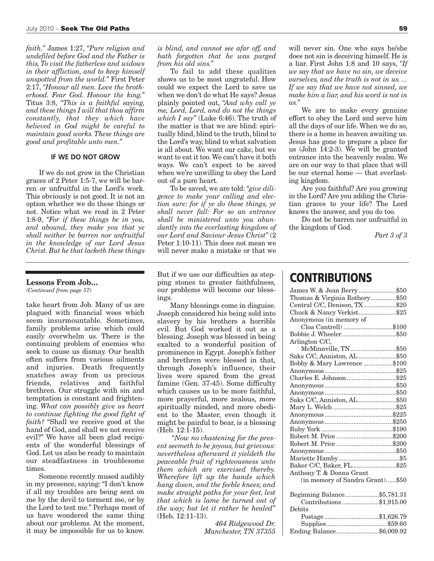*faith."* James 1:27, *"Pure religion and undefiled before God and the Father is this, To visit the fatherless and widows in their affliction, and to keep himself unspotted from the world."* First Peter 2:17, *"Honour all men. Love the brotherhood. Fear God. Honour the king."* Titus 3:8, *"This is a faithful saying, and these things I will that thou affirm constantly, that they which have believed in God might be careful to maintain good works. These things are good and profitable unto men."*

#### **IF WE DO NOT GROW**

If we do not grow in the Christian graces of 2 Peter 1:5-7, we will be barren or unfruitful in the Lord's work. This obviously is not good. It is not an option whether we do these things or not. Notice what we read in 2 Peter 1:8-9, *"For if these things be in you, and abound, they make you that ye shall neither be barren nor unfruitful in the knowledge of our Lord Jesus Christ. But he that lacketh these things*

#### **Lessons From Job…**

*(Continued from page 57)*

take heart from Job. Many of us are plagued with financial woes which seem insurmountable. Sometimes, family problems arise which could easily overwhelm us. There is the continuing problem of enemies who seek to cause us dismay. Our health often suffers from various ailments and injuries. Death frequently snatches away from us precious friends, relatives and faithful brethren. Our struggle with sin and temptation is constant and frightening. *What can possibly give us heart to continue fighting the good fight of faith?* "Shall we receive good at the hand of God, and shall we not receive evil?" We have all been glad recipients of the wonderful blessings of God. Let us also be ready to maintain our steadfastness in troublesome times.

Someone recently mused audibly in my presence, saying:"I don't know if all my troubles are being sent on me by the devil to torment me, or by the Lord to test me." Perhaps most of us have wondered the same thing about our problems. At the moment, it may be impossible for us to know.

*is blind, and cannot see afar off, and hath forgotten that he was purged from his old sins."*

To fail to add these qualities shows us to be most ungrateful. How could we expect the Lord to save us when we don't do what He says? Jesus plainly pointed out, *"And why call ye me, Lord, Lord, and do not the things which I say"* (Luke 6:46). The truth of the matter is that we are blind: spiritually blind, blind to the truth, blind to the Lord's way, blind to what salvation is all about. We want our cake, but we want to eat it too.We can't have it both ways. We can't expect to be saved when we're unwilling to obey the Lord out of a pure heart.

To be saved, we are told: *"give diligence to make your calling and election sure: for if ye do these things, ye shall never fall: For so an entrance shall be ministered unto you abundantly into the everlasting kingdom of our Lord and Saviour Jesus Christ"* (2 Peter 1:10-11). This does not mean we will never make a mistake or that we

But if we use our difficulties as stepping stones to greater faithfulness, our problems will become our blessings.

Many blessings come in disguise. Joseph considered his being sold into slavery by his brothers a horrible evil. But God worked it out as a blessing. Joseph was blessed in being exalted to a wonderful position of prominence in Egypt. Joseph's father and brethren were blessed in that, through Joseph's influence, their lives were spared from the great famine (Gen. 37-45). Some difficulty which causes us to be more faithful, more prayerful, more zealous, more spiritually minded, and more obedient to the Master, even though it might be painful to bear, is a blessing (Heb. 12:1-15).

*"Now no chastening for the present seemeth to be joyous, but grievous: nevertheless afterward it yieldeth the peaceable fruit of righteousness unto them which are exercised thereby. Wherefore lift up the hands which hang down, and the feeble knees; and make straight paths for your feet, lest that which is lame be turned out of the way; but let it rather be healed"* (Heb. 12:11-13).

> *464 Ridgewood Dr. Manchester, TN 37355*

will never sin. One who says he/she does not sin is deceiving himself. He is a liar. First John 1:8 and 10 says, *"If we say that we have no sin, we deceive ourselves, and the truth is not in us. ... If we say that we have not sinned, we make him a liar, and his word is not in us."*

We are to make every genuine effort to obey the Lord and serve him all the days of our life. When we do so, there is a home in heaven awaiting us. Jesus has gone to prepare a place for us (John 14:2-3). We will be granted entrance into the heavenly realm. We are on our way to that place that will be our eternal home — that everlasting kingdom.

Are you faithful? Are you growing in the Lord? Are you adding the Christian graces to your life? The Lord knows the answer, and you do too.

Do not be barren nor unfruitful in the kingdom of God.

*Part 3 of 3*

### **CONTRIBUTIONS**

| James W. & Jean Berry\$50       |  |
|---------------------------------|--|
| Thomas & Virginia Rothery\$50   |  |
| Central C/C, Denison, TX\$20    |  |
| Chuck & Nancy Verkist\$25       |  |
| Anonymous (in memory of         |  |
| Cloa Cantrell) \$100            |  |
|                                 |  |
| Arlington C/C,                  |  |
| McMinnville, TN\$50             |  |
| Saks C/C, Anniston, AL \$50     |  |
| Bobby & Mary Lawrence \$100     |  |
|                                 |  |
| Charles E. Johnson\$25          |  |
|                                 |  |
|                                 |  |
| Saks C/C, Anniston, AL \$50     |  |
|                                 |  |
|                                 |  |
|                                 |  |
|                                 |  |
| Robert M. Price \$200           |  |
| Robert M. Price \$200           |  |
|                                 |  |
|                                 |  |
| Baker C/C, Baker, FL\$25        |  |
| Anthony T. & Donna Grant        |  |
| (in memory of Sandra Grant)\$50 |  |
| Beginning Balance\$5,781.31     |  |
| Contributions\$1,915.00         |  |
| Debits                          |  |
| \$169670<br>Postaga             |  |

| Debits                   |  |
|--------------------------|--|
| Postage \$1,626.79       |  |
|                          |  |
| Ending Balance\$6,009.92 |  |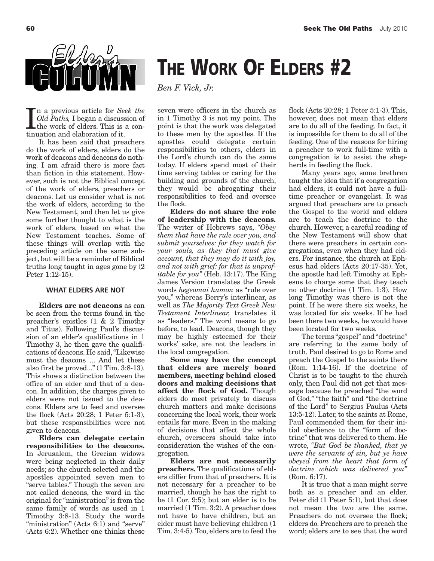

In a previous article for Second Did Paths, I began a discuss<br>the work of elders. This is<br>tinuation and elaboration of it. n a previous article for *Seek the Old Paths,* I began a discussion of the work of elders. This is a con-

It has been said that preachers do the work of elders, elders do the work of deacons and deacons do nothing. I am afraid there is more fact than fiction in this statement. However, such is not the Biblical concept of the work of elders, preachers or deacons. Let us consider what is not the work of elders, according to the New Testament, and then let us give some further thought to what is the work of elders, based on what the New Testament teaches. Some of these things will overlap with the preceding article on the same subject, but will be a reminder of Biblical truths long taught in ages gone by (2 Peter 1:12-15).

### **WHAT ELDERS ARE NOT**

**Elders are not deacons** as can be seen from the terms found in the preacher's epistles (1 & 2 Timothy and Titus). Following Paul's discussion of an elder's qualifications in 1 Timothy 3, he then gave the qualifications of deacons. He said,"Likewise must the deacons ... And let these also first be proved..." (1 Tim. 3:8-13). This shows a distinction between the office of an elder and that of a deacon. In addition, the charges given to elders were not issued to the deacons. Elders are to feed and oversee the flock (Acts 20:28; 1 Peter 5:1-3), but these responsibilities were not given to deacons.

**Elders can delegate certain responsibilities to the deacons.** In Jerusalem, the Grecian widows were being neglected in their daily needs; so the church selected and the apostles appointed seven men to "serve tables." Though the seven are not called deacons, the word in the original for "ministration" is from the same family of words as used in 1 Timothy 3:8-13. Study the words "ministration" (Acts 6:1) and "serve" (Acts 6:2). Whether one thinks these

## **THE WORK OF ELDERS #2**

*Ben F. Vick, Jr.*

seven were officers in the church as in 1 Timothy 3 is not my point. The point is that the work was delegated to these men by the apostles. If the apostles could delegate certain responsibilities to others, elders in the Lord's church can do the same today. If elders spend most of their time serving tables or caring for the building and grounds of the church, they would be abrogating their responsibilities to feed and oversee the flock.

**Elders do not share the role of leadership with the deacons.** The writer of Hebrews says, *"Obey them that have the rule over you, and submit yourselves: for they watch for your souls, as they that must give account, that they may do it with joy, and not with grief: for that is unprofitable for you"* (Heb. 13:17). The King James Version translates the Greek words *hegeomai humon* as "rule over you," whereas Berry's interlinear, as well as *The Majority Text Greek New Testament Interlinear,* translates it as "leaders." The word means to go before, to lead. Deacons, though they may be highly esteemed for their works' sake, are not the leaders in the local congregation.

**Some may have the concept that elders are merely board members, meeting behind closed doors and making decisions that affect the flock of God.** Though elders do meet privately to discuss church matters and make decisions concerning the local work, their work entails far more. Even in the making of decisions that affect the whole church, overseers should take into consideration the wishes of the congregation.

**Elders are not necessarily preachers.** The qualifications of elders differ from that of preachers. It is not necessary for a preacher to be married, though he has the right to be (1 Cor. 9:5); but an elder is to be married (1 Tim. 3:2). A preacher does not have to have children, but an elder must have believing children (1 Tim. 3:4-5).Too, elders are to feed the flock (Acts 20:28; 1 Peter 5:1-3). This, however, does not mean that elders are to do all of the feeding. In fact, it is impossible for them to do all of the feeding. One of the reasons for hiring a preacher to work full-time with a congregation is to assist the shepherds in feeding the flock.

Many years ago, some brethren taught the idea that if a congregation had elders, it could not have a fulltime preacher or evangelist. It was argued that preachers are to preach the Gospel to the world and elders are to teach the doctrine to the church. However, a careful reading of the New Testament will show that there were preachers in certain congregations, even when they had elders. For instance, the church at Ephesus had elders (Acts 20:17-35). Yet, the apostle had left Timothy at Ephesus to charge some that they teach no other doctrine (1 Tim. 1:3). How long Timothy was there is not the point. If he were there six weeks, he was located for six weeks. If he had been there two weeks, he would have been located for two weeks.

The terms "gospel" and "doctrine" are referring to the same body of truth. Paul desired to go to Rome and preach the Gospel to the saints there (Rom. 1:14-16). If the doctrine of Christ is to be taught to the church only, then Paul did not get that message because he preached "the word of God," "the faith" and "the doctrine of the Lord" to Sergius Paulus (Acts 13:5-12). Later, to the saints at Rome, Paul commended them for their initial obedience to the "form of doctrine" that was delivered to them. He wrote, *"But God be thanked, that ye were the servants of sin, but ye have obeyed from the heart that form of doctrine which was delivered you"* (Rom. 6:17).

It is true that a man might serve both as a preacher and an elder. Peter did (1 Peter 5:1), but that does not mean the two are the same. Preachers do not oversee the flock; elders do. Preachers are to preach the word; elders are to see that the word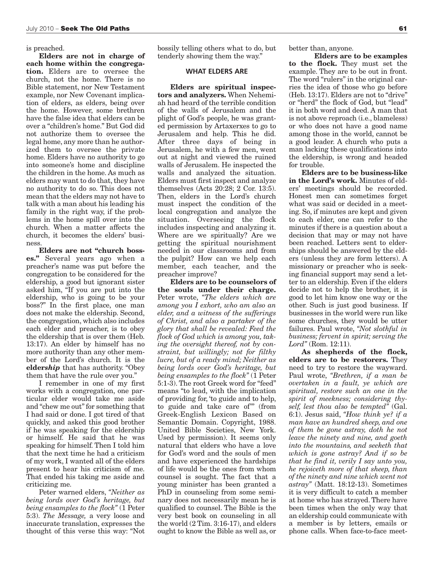is preached.

**Elders are not in charge of each home within the congregation.** Elders are to oversee the church, not the home. There is no Bible statement, nor New Testament example, nor New Covenant implication of elders, as elders, being over the home. However, some brethren have the false idea that elders can be over a "children's home." But God did not authorize them to oversee the legal home, any more than he authorized them to oversee the private home. Elders have no authority to go into someone's home and discipline the children in the home. As much as elders may want to do that, they have no authority to do so. This does not mean that the elders may not have to talk with a man about his leading his family in the right way, if the problems in the home spill over into the church. When a matter affects the church, it becomes the elders' business.

**Elders are not "church bosses."** Several years ago when a preacher's name was put before the congregation to be considered for the eldership, a good but ignorant sister asked him, "If you are put into the eldership, who is going to be your boss?" In the first place, one man does not make the eldership. Second, the congregation, which also includes each elder and preacher, is to obey the eldership that is over them (Heb. 13:17). An elder by himself has no more authority than any other member of the Lord's church. It is the **elder***ship* that has authority. "Obey them that have the rule over you."

I remember in one of my first works with a congregation, one particular elder would take me aside and "chew me out" for something that I had said or done. I got tired of that quickly, and asked this good brother if he was speaking for the eldership or himself. He said that he was speaking for himself. Then I told him that the next time he had a criticism of my work, I wanted all of the elders present to hear his criticism of me. That ended his taking me aside and criticizing me.

Peter warned elders, *"Neither as being lords over God's heritage, but being ensamples to the flock"* (1 Peter 5:3). *The Message,* a very loose and inaccurate translation, expresses the thought of this verse this way: "Not

bossily telling others what to do, but tenderly showing them the way."

### **WHAT ELDERS ARE**

**Elders are spiritual inspectors and analyzers.** When Nehemiah had heard of the terrible condition of the walls of Jerusalem and the plight of God's people, he was granted permission by Artaxerxes to go to Jerusalem and help. This he did. After three days of being in Jerusalem, he with a few men, went out at night and viewed the ruined walls of Jerusalem. He inspected the walls and analyzed the situation. Elders must first inspect and analyze themselves (Acts 20:28; 2 Cor. 13:5). Then, elders in the Lord's church must inspect the condition of the local congregation and analyze the situation. Overseeing the flock includes inspecting and analyzing it. Where are we spiritually? Are we getting the spiritual nourishment needed in our classrooms and from the pulpit? How can we help each member, each teacher, and the preacher improve?

**Elders are to be counselors of the souls under their charge.** Peter wrote, *"The elders which are among you I exhort, who am also an elder, and a witness of the sufferings of Christ, and also a partaker of the glory that shall be revealed: Feed the flock of God which is among you, taking the oversight thereof, not by constraint, but willingly; not for filthy lucre, but of a ready mind; Neither as being lords over God's heritage, but being ensamples to the flock"* (1 Peter 5:1-3). The root Greek word for "feed" means "to lead, with the implication of providing for, 'to guide and to help, to guide and take care of'" (from Greek-English Lexicon Based on Semantic Domain. Copyright, 1988. United Bible Societies, New York. Used by permission). It seems only natural that elders who have a love for God's word and the souls of men and have experienced the hardships of life would be the ones from whom counsel is sought. The fact that a young minister has been granted a PhD in counseling from some seminary does not necessarily mean he is qualified to counsel. The Bible is the very best book on counseling in all the world (2 Tim. 3:16-17), and elders ought to know the Bible as well as, or

better than, anyone.

**Elders are to be examples to the flock.** They must set the example. They are to be out in front. The word "rulers" in the original carries the idea of those who go before (Heb. 13:17). Elders are not to "drive" or "herd" the flock of God, but "lead" it in both word and deed. A man that is not above reproach (i.e., blameless) or who does not have a good name among those in the world, cannot be a good leader. A church who puts a man lacking these qualifications into the eldership, is wrong and headed for trouble.

**Elders are to be business-like in the Lord's work.** Minutes of elders' meetings should be recorded. Honest men can sometimes forget what was said or decided in a meeting. So, if minutes are kept and given to each elder, one can refer to the minutes if there is a question about a decision that may or may not have been reached. Letters sent to elderships should be answered by the elders (unless they are form letters). A missionary or preacher who is seeking financial support may send a letter to an eldership. Even if the elders decide not to help the brother, it is good to let him know one way or the other. Such is just good business. If businesses in the world were run like some churches, they would be utter failures. Paul wrote, *"Not slothful in business; fervent in spirit; serving the Lord"* (Rom. 12:11).

**As shepherds of the flock, elders are to be restorers.** They need to try to restore the wayward. Paul wrote, *"Brethren, if a man be overtaken in a fault, ye which are spiritual, restore such an one in the spirit of meekness; considering thyself, lest thou also be tempted"* (Gal. 6:1). Jesus said, *"How think ye? if a man have an hundred sheep, and one of them be gone astray, doth he not leave the ninety and nine, and goeth into the mountains, and seeketh that which is gone astray? And if so be that he find it, verily I say unto you, he rejoiceth more of that sheep, than of the ninety and nine which went not astray"* (Matt. 18:12-13). Sometimes it is very difficult to catch a member at home who has strayed.There have been times when the only way that an eldership could communicate with a member is by letters, emails or phone calls. When face-to-face meet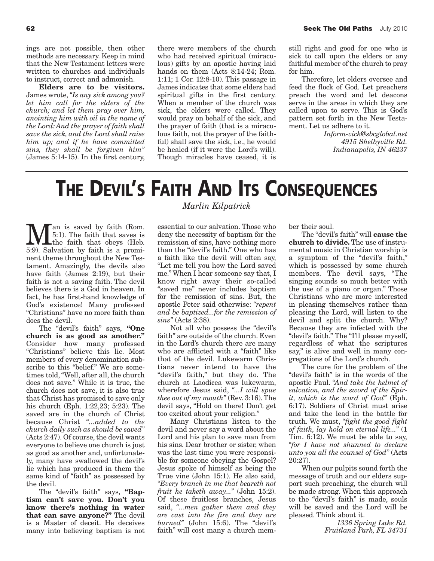ings are not possible, then other methods are necessary. Keep in mind that the New Testament letters were written to churches and individuals to instruct, correct and admonish.

**Elders are to be visitors.** James wrote,*"Is any sick among you? let him call for the elders of the church; and let them pray over him, anointing him with oil in the name of the Lord: And the prayer of faith shall save the sick, and the Lord shall raise him up; and if he have committed sins, they shall be forgiven him"* (James 5:14-15). In the first century, there were members of the church who had received spiritual (miraculous) gifts by an apostle having laid hands on them (Acts 8:14-24; Rom. 1:11; 1 Cor. 12:8-10). This passage in James indicates that some elders had spiritual gifts in the first century. When a member of the church was sick, the elders were called. They would pray on behalf of the sick, and the prayer of faith (that is a miraculous faith, not the prayer of the faithful) shall save the sick, i.e., he would be healed (if it were the Lord's will). Though miracles have ceased, it is

still right and good for one who is sick to call upon the elders or any faithful member of the church to pray for him.

Therefore, let elders oversee and feed the flock of God. Let preachers preach the word and let deacons serve in the areas in which they are called upon to serve. This is God's pattern set forth in the New Testament. Let us adhere to it.

> *Inform-vick@sbcglobal.net 4915 Shelbyville Rd. Indianapolis, IN 46237*

# **THE DEVIL'S FAITH AND ITS CONSEQUENCES**

**Man** is saved by faith (Rom.<br>
the faith that saves is<br>
the faith that obeys (Heb.<br>
the faith that obeys (Heb. 5:1). The faith that saves is 5:9). Salvation by faith is a prominent theme throughout the New Testament. Amazingly, the devils also have faith (James 2:19), but their faith is not a saving faith. The devil believes there is a God in heaven. In fact, he has first-hand knowledge of God's existence! Many professed "Christians" have no more faith than does the devil.

The "devil's faith" says, **"One church is as good as another."** Consider how many professed "Christians" believe this lie. Most members of every denomination subscribe to this "belief." We are sometimes told,"Well, after all, the church does not save." While it is true, the church does not save, it is also true that Christ has promised to save only his church (Eph. 1:22,23; 5:23). The saved are in the church of Christ because Christ *"...added to the church daily such as should be saved"*  $(Acts 2:47)$ . Of course, the devil wants everyone to believe one church is just as good as another and, unfortunately, many have swallowed the devil's lie which has produced in them the same kind of "faith" as possessed by the devil.

The "devil's faith" says, **"Baptism can't save you. Don't you know there's nothing in water that can save anyone?"** The devil is a Master of deceit. He deceives many into believing baptism is not

### *Marlin Kilpatrick*

essential to our salvation. Those who deny the necessity of baptism for the remission of sins, have nothing more than the "devil's faith." One who has a faith like the devil will often say, "Let me tell you how the Lord saved me." When I hear someone say that, I know right away their so-called "saved me" never includes baptism for the remission of sins. But, the apostle Peter said otherwise: *"repent and be baptized...for the remission of sins"* (Acts 2:38).

Not all who possess the "devil's faith" are outside of the church. Even in the Lord's church there are many who are afflicted with a "faith" like that of the devil. Lukewarm Christians never intend to have the "devil's faith," but they do. The church at Laodicea was lukewarm, wherefore Jesus said, *"...I will spue thee out of my mouth"* (Rev. 3:16).The devil says, "Hold on there! Don't get too excited about your religion."

Many Christians listen to the devil and never say a word about the Lord and his plan to save man from his sins. Dear brother or sister, when was the last time you were responsible for someone obeying the Gospel? Jesus spoke of himself as being the True vine (John 15:1). He also said, *"Every branch in me that beareth not fruit he taketh away..."* (John 15:2). Of these fruitless branches, Jesus said, *"...men gather them and they are cast into the fire and they are burned"* (John 15:6). The "devil's faith" will cost many a church member their soul.

The "devil's faith" will **cause the church to divide.** The use of instrumental music in Christian worship is a symptom of the "devil's faith," which is possessed by some church members. The devil says, "The singing sounds so much better with the use of a piano or organ." Those Christians who are more interested in pleasing themselves rather than pleasing the Lord, will listen to the devil and split the church. Why? Because they are infected with the "devil's faith." The "I'll please myself, regardless of what the scriptures say," is alive and well in many congregations of the Lord's church.

The cure for the problem of the "devil's faith" is in the words of the apostle Paul. *"And take the helmet of salvation, and the sword of the Spirit, which is the word of God"* (Eph. 6:17). Soldiers of Christ must arise and take the lead in the battle for truth. We must, *"fight the good fight of faith, lay hold on eternal life..."* (1 Tim. 6:12). We must be able to say, *"for I have not shunned to declare unto you all the counsel of God"* (Acts 20:27).

When our pulpits sound forth the message of truth and our elders support such preaching, the church will be made strong. When this approach to the "devil's faith" is made, souls will be saved and the Lord will be pleased. Think about it.

> *1336 Spring Lake Rd. Fruitland Park, FL 34731*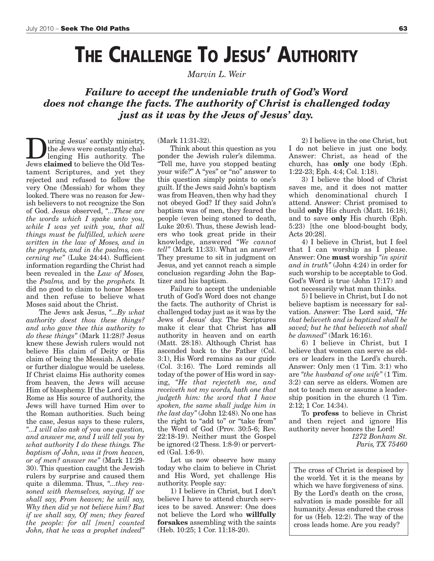## **THE CHALLENGE TO JESUS' AUTHORITY**

*Marvin L. Weir*

*Failure to accept the undeniable truth of God's Word does not change the facts. The authority of Christ is challenged today just as it was by the Jews of Jesus' day.*

**During Jesus' earthly ministry,<br>the Jews were constantly challenging His authority. The<br>Jews claimed to believe the Old Tes**the Jews were constantly challenging His authority. The Jews **claimed** to believe the Old Testament Scriptures, and yet they rejected and refused to follow the very One (Messiah) for whom they looked. There was no reason for Jewish believers to not recognize the Son of God. Jesus observed, *"...These are the words which I spake unto you, while I was yet with you, that all things must be fulfilled, which were written in the law of Moses, and in the prophets, and in the psalms, concerning me"* (Luke 24:44). Sufficient information regarding the Christ had been revealed in the *Law of Moses,* the *Psalms,* and by the *prophets.* It did no good to claim to honor Moses and then refuse to believe what Moses said about the Christ.

The Jews ask Jesus, *"...By what authority doest thou these things? and who gave thee this authority to do these things"* (Mark 11:28)? Jesus knew these Jewish rulers would not believe His claim of Deity or His claim of being the Messiah. A debate or further dialogue would be useless. If Christ claims His authority comes from heaven, the Jews will accuse Him of blasphemy. If the Lord claims Rome as His source of authority, the Jews will have turned Him over to the Roman authorities. Such being the case, Jesus says to these rulers, *"...I will also ask of you one question, and answer me, and I will tell you by what authority I do these things. The baptism of John, was it from heaven, or of men? answer me"* (Mark 11:29- 30). This question caught the Jewish rulers by surprise and caused them quite a dilemma. Thus, *"...they reasoned with themselves, saying, If we shall say, From heaven; he will say, Why then did ye not believe him? But if we shall say, Of men; they feared the people: for all [men] counted John, that he was a prophet indeed"*

(Mark 11:31-32).

Think about this question as you ponder the Jewish ruler's dilemma. "Tell me, have you stopped beating your wife?" A "yes" or "no" answer to this question simply points to one's guilt. If the Jews said John's baptism was from Heaven, then why had they not obeyed God? If they said John's baptism was of men, they feared the people (even being stoned to death, Luke 20:6). Thus, these Jewish leaders who took great pride in their knowledge, answered *"We cannot tell"* (Mark 11:33). What an answer! They presume to sit in judgment on Jesus, and yet cannot reach a simple conclusion regarding John the Baptizer and his baptism.

Failure to accept the undeniable truth of God's Word does not change the facts. The authority of Christ is challenged today just as it was by the Jews of Jesus' day. The Scriptures make it clear that Christ has **all** authority in heaven and on earth (Matt. 28:18). Although Christ has ascended back to the Father (Col. 3:1), His Word remains as our guide (Col. 3:16). The Lord reminds all today of the power of His word in saying, *"He that rejecteth me, and receiveth not my words, hath one that judgeth him: the word that I have spoken, the same shall judge him in the last day"* (John 12:48). No one has the right to "add to" or "take from" the Word of God (Prov. 30:5-6; Rev. 22:18-19). Neither must the Gospel be ignored (2 Thess. 1:8-9) or perverted (Gal. 1:6-9).

Let us now observe how many today who claim to believe in Christ and His Word, yet challenge His authority. People say:

1) I believe in Christ, but I don't believe I have to attend church services to be saved. Answer: One does not believe the Lord who **willfully forsakes** assembling with the saints (Heb. 10:25; 1 Cor. 11:18-20).

2) I believe in the one Christ, but I do not believe in just one body. Answer: Christ, as head of the church, has **only** one body (Eph. 1:22-23; Eph. 4:4; Col. 1:18).

3) I believe the blood of Christ saves me, and it does not matter which denominational church I attend. Answer: Christ promised to build **only** His church (Matt. 16:18), and to save **only** His church (Eph. 5:23) [the one blood-bought body, Acts 20:28].

4) I believe in Christ, but I feel that I can worship as I please. Answer: One **must** worship *"in spirit and in truth"* (John 4:24) in order for such worship to be acceptable to God. God's Word is true (John 17:17) and not necessarily what man thinks.

5) I believe in Christ, but I do not believe baptism is necessary for salvation. Answer: The Lord said, *"He that believeth and is baptized shall be saved; but he that believeth not shall be damned"* (Mark 16:16).

6) I believe in Christ, but I believe that women can serve as elders or leaders in the Lord's church. Answer: Only men (1 Tim. 3:1) who are *"the husband of one wife"* (1 Tim. 3:2) can serve as elders. Women are not to teach men or assume a leadership position in the church (1 Tim. 2:12; 1 Cor. 14:34).

To **profess** to believe in Christ and then reject and ignore His authority never honors the Lord! *1272 Bonham St.*

*Paris, TX 75460*

The cross of Christ is despised by the world. Yet it is the means by which we have forgiveness of sins. By the Lord's death on the cross, salvation is made possible for all humanity. Jesus endured the cross for us (Heb. 12:2). The way of the cross leads home. Are you ready?